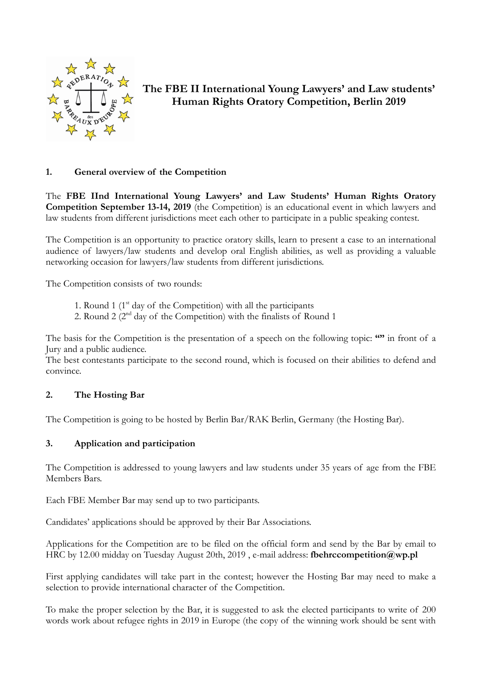

# **The FBE II International Young Lawyers' and Law students' Human Rights Oratory Competition, Berlin 2019**

# **1. General overview of the Competition**

The **FBE IInd International Young Lawyers' and Law Students' Human Rights Oratory Competition September 13-14, 2019** (the Competition) is an educational event in which lawyers and law students from different jurisdictions meet each other to participate in a public speaking contest.

The Competition is an opportunity to practice oratory skills, learn to present a case to an international audience of lawyers/law students and develop oral English abilities, as well as providing a valuable networking occasion for lawyers/law students from different jurisdictions.

The Competition consists of two rounds:

- 1. Round 1  $(1<sup>st</sup> \, \text{day of the Competition})$  with all the participants
- 2. Round 2  $(2<sup>nd</sup> day of the Competition) with the finalists of Round 1$

The basis for the Competition is the presentation of a speech on the following topic: **""** in front of a Jury and a public audience.

The best contestants participate to the second round, which is focused on their abilities to defend and convince.

# **2. The Hosting Bar**

The Competition is going to be hosted by Berlin Bar/RAK Berlin, Germany (the Hosting Bar).

# **3. Application and participation**

The Competition is addressed to young lawyers and law students under 35 years of age from the FBE Members Bars.

Each FBE Member Bar may send up to two participants.

Candidates' applications should be approved by their Bar Associations.

Applications for the Competition are to be filed on the official form and send by the Bar by email to HRC by 12.00 midday on Tuesday August 20th, 2019, e-mail address: fbehrccompetition@wp.pl

First applying candidates will take part in the contest; however the Hosting Bar may need to make a selection to provide international character of the Competition.

To make the proper selection by the Bar, it is suggested to ask the elected participants to write of 200 words work about refugee rights in 2019 in Europe (the copy of the winning work should be sent with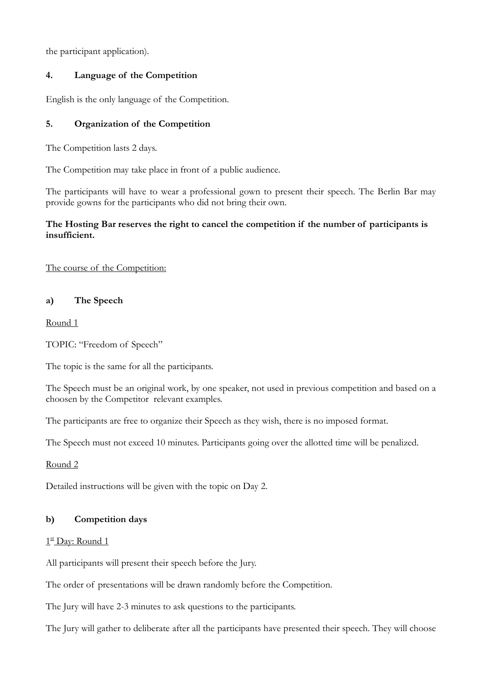the participant application).

## **4. Language of the Competition**

English is the only language of the Competition.

## **5. Organization of the Competition**

The Competition lasts 2 days.

The Competition may take place in front of a public audience.

The participants will have to wear a professional gown to present their speech. The Berlin Bar may provide gowns for the participants who did not bring their own.

## **The Hosting Bar reserves the right to cancel the competition if the number of participants is insufficient.**

The course of the Competition:

### **a) The Speech**

Round 1

TOPIC: "Freedom of Speech"

The topic is the same for all the participants.

The Speech must be an original work, by one speaker, not used in previous competition and based on a choosen by the Competitor relevant examples.

The participants are free to organize their Speech as they wish, there is no imposed format.

The Speech must not exceed 10 minutes. Participants going over the allotted time will be penalized.

Round 2

Detailed instructions will be given with the topic on Day 2.

# **b) Competition days**

#### $1<sup>st</sup>$  Day: Round 1

All participants will present their speech before the Jury.

The order of presentations will be drawn randomly before the Competition.

The Jury will have 2-3 minutes to ask questions to the participants.

The Jury will gather to deliberate after all the participants have presented their speech. They will choose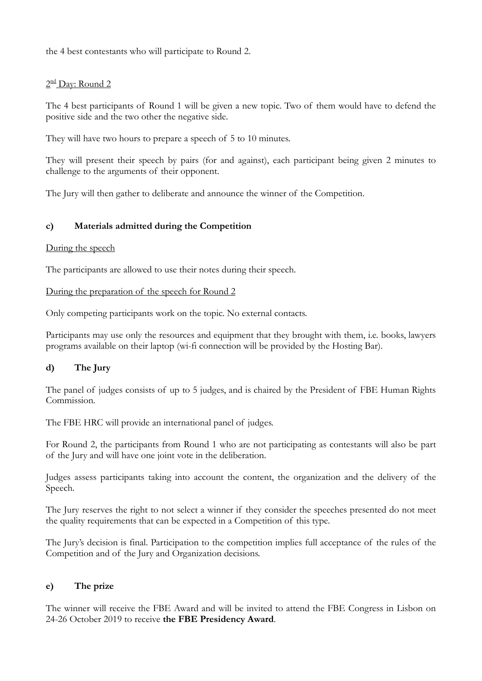the 4 best contestants who will participate to Round 2.

## $2<sup>nd</sup>$  Day: Round 2

The 4 best participants of Round 1 will be given a new topic. Two of them would have to defend the positive side and the two other the negative side.

They will have two hours to prepare a speech of 5 to 10 minutes.

They will present their speech by pairs (for and against), each participant being given 2 minutes to challenge to the arguments of their opponent.

The Jury will then gather to deliberate and announce the winner of the Competition.

# **c) Materials admitted during the Competition**

#### During the speech

The participants are allowed to use their notes during their speech.

#### During the preparation of the speech for Round 2

Only competing participants work on the topic. No external contacts.

Participants may use only the resources and equipment that they brought with them, i.e. books, lawyers programs available on their laptop (wi-fi connection will be provided by the Hosting Bar).

# **d) The Jury**

The panel of judges consists of up to 5 judges, and is chaired by the President of FBE Human Rights Commission.

The FBE HRC will provide an international panel of judges.

For Round 2, the participants from Round 1 who are not participating as contestants will also be part of the Jury and will have one joint vote in the deliberation.

Judges assess participants taking into account the content, the organization and the delivery of the Speech.

The Jury reserves the right to not select a winner if they consider the speeches presented do not meet the quality requirements that can be expected in a Competition of this type.

The Jury's decision is final. Participation to the competition implies full acceptance of the rules of the Competition and of the Jury and Organization decisions.

# **e) The prize**

The winner will receive the FBE Award and will be invited to attend the FBE Congress in Lisbon on 24-26 October 2019 to receive **the FBE Presidency Award**.